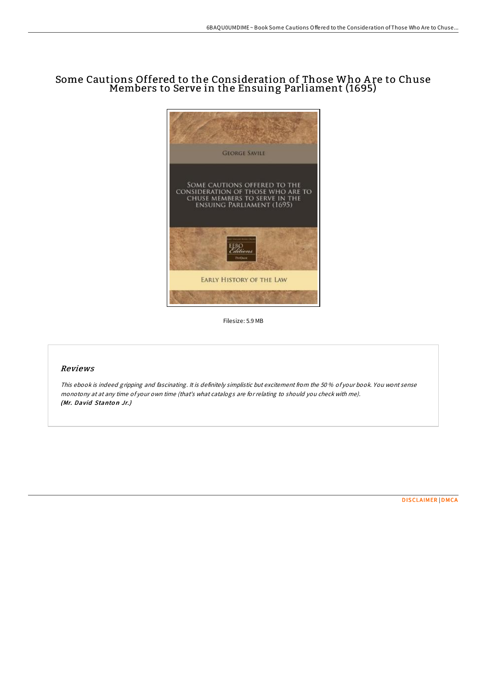# Some Cautions Offered to the Consideration of Those Who A re to Chuse Members to Serve in the Ensuing Parliament (1695)



Filesize: 5.9 MB

### Reviews

This ebook is indeed gripping and fascinating. It is definitely simplistic but excitement from the 50 % of your book. You wont sense monotony at at any time of your own time (that's what catalogs are for relating to should you check with me). (Mr. David Stanton Jr.)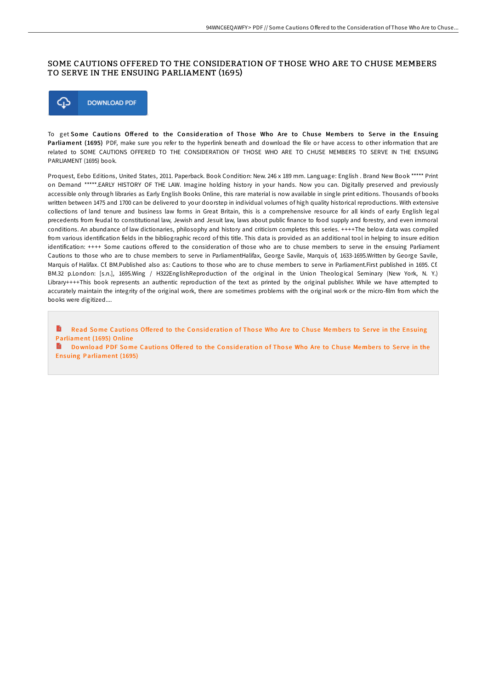## SOME CAUTIONS OFFERED TO THE CONSIDERATION OF THOSE WHO ARE TO CHUSE MEMBERS TO SERVE IN THE ENSUING PARLIAMENT (1695)



To get Some Cautions Offered to the Consideration of Those Who Are to Chuse Members to Serve in the Ensuing Parliament (1695) PDF, make sure you refer to the hyperlink beneath and download the file or have access to other information that are related to SOME CAUTIONS OFFERED TO THE CONSIDERATION OF THOSE WHO ARE TO CHUSE MEMBERS TO SERVE IN THE ENSUING PARLIAMENT (1695) book.

Proquest, Eebo Editions, United States, 2011. Paperback. Book Condition: New. 246 x 189 mm. Language: English . Brand New Book \*\*\*\*\* Print on Demand \*\*\*\*\*.EARLY HISTORY OF THE LAW. Imagine holding history in your hands. Now you can. Digitally preserved and previously accessible only through libraries as Early English Books Online, this rare material is now available in single print editions. Thousands of books written between 1475 and 1700 can be delivered to your doorstep in individual volumes of high quality historical reproductions. With extensive collections of land tenure and business law forms in Great Britain, this is a comprehensive resource for all kinds of early English legal precedents from feudal to constitutional law, Jewish and Jesuit law, laws about public finance to food supply and forestry, and even immoral conditions. An abundance of law dictionaries, philosophy and history and criticism completes this series. ++++The below data was compiled from various identification fields in the bibliographic record of this title. This data is provided as an additional tool in helping to insure edition identification: ++++ Some cautions offered to the consideration of those who are to chuse members to serve in the ensuing Parliament Cautions to those who are to chuse members to serve in ParliamentHalifax, George Savile, Marquis of, 1633-1695.Written by George Savile, Marquis of Halifax. Cf. BM.Published also as: Cautions to those who are to chuse members to serve in Parliament.First published in 1695. Cf. BM.32 p.London: [s.n.], 1695.Wing / H322EnglishReproduction of the original in the Union Theological Seminary (New York, N. Y.) Library++++This book represents an authentic reproduction of the text as printed by the original publisher. While we have attempted to accurately maintain the integrity of the original work, there are sometimes problems with the original work or the micro-film from which the books were digitized....

Read Some Cautions Offered to the Consideration of Those Who Are to Chuse Members to Serve in the Ensuing [Parliament](http://almighty24.tech/some-cautions-offered-to-the-consideration-of-th.html) (1695) Online

B Download PDF Some Cautions Offered to the Consideration of Those Who Are to Chuse Members to Serve in the Ensuing [Parliament](http://almighty24.tech/some-cautions-offered-to-the-consideration-of-th.html) (1695)